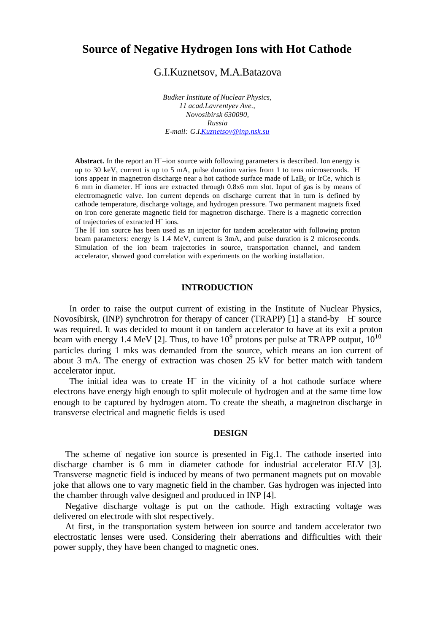# **Source of Negative Hydrogen Ions with Hot Cathode**

# G.I.Kuznetsov, M.A.Batazova

*Budker Institute of Nuclear Physics, 11 acad.Lavrentyev Ave., Novosibirsk 630090, Russia E-mail: G.I.Kuznetsov@inp.nsk.su*

Abstract. In the report an H<sup>-</sup>-ion source with following parameters is described. Ion energy is up to 30 keV, current is up to 5 mA, pulse duration varies from 1 to tens microseconds. H– ions appear in magnetron discharge near a hot cathode surface made of  $LaB<sub>6</sub>$  or IrCe, which is 6 mm in diameter. H– ions are extracted through 0.8x6 mm slot. Input of gas is by means of electromagnetic valve. Ion current depends on discharge current that in turn is defined by cathode temperature, discharge voltage, and hydrogen pressure. Two permanent magnets fixed on iron core generate magnetic field for magnetron discharge. There is a magnetic correction of trajectories of extracted H– ions.

The H–ion source has been used as an injector for tandem accelerator with following proton beam parameters: energy is 1.4 MeV, current is 3mA, and pulse duration is 2 microseconds. Simulation of the ion beam trajectories in source, transportation channel, and tandem accelerator, showed good correlation with experiments on the working installation.

### **INTRODUCTION**

In order to raise the output current of existing in the Institute of Nuclear Physics, Novosibirsk, (INP) synchrotron for therapy of cancer (TRAPP) [1] a stand-by H–source was required. It was decided to mount it on tandem accelerator to have at its exit a proton beam with energy 1.4 MeV [2]. Thus, to have  $10^9$  protons per pulse at TRAPP output,  $10^{10}$ particles during 1 mks was demanded from the source, which means an ion current of about 3 mA. The energy of extraction was chosen 25 kV for better match with tandem accelerator input.

The initial idea was to create  $H^-$  in the vicinity of a hot cathode surface where electrons have energy high enough to split molecule of hydrogen and at the same time low enough to be captured by hydrogen atom. To create the sheath, a magnetron discharge in transverse electrical and magnetic fields is used

## **DESIGN**

The scheme of negative ion source is presented in Fig.1. The cathode inserted into discharge chamber is 6 mm in diameter cathode for industrial accelerator ELV [3]. Transverse magnetic field is induced by means of two permanent magnets put on movable joke that allows one to vary magnetic field in the chamber. Gas hydrogen was injected into the chamber through valve designed and produced in INP [4].

Negative discharge voltage is put on the cathode. High extracting voltage was delivered on electrode with slot respectively.

At first, in the transportation system between ion source and tandem accelerator two electrostatic lenses were used. Considering their aberrations and difficulties with their power supply, they have been changed to magnetic ones.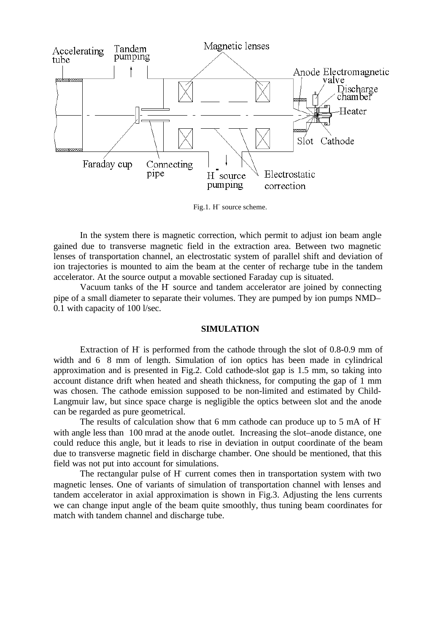

Fig.1. H source scheme.

In the system there is magnetic correction, which permit to adjust ion beam angle gained due to transverse magnetic field in the extraction area. Between two magnetic lenses of transportation channel, an electrostatic system of parallel shift and deviation of ion trajectories is mounted to aim the beam at the center of recharge tube in the tandem accelerator. At the source output a movable sectioned Faraday cup is situated.

Vacuum tanks of the H–source and tandem accelerator are joined by connecting pipe of a small diameter to separate their volumes. They are pumped by ion pumps NMD– 0.1 with capacity of 100 l/sec.

#### **SIMULATION**

Extraction of H is performed from the cathode through the slot of 0.8-0.9 mm of width and 6 8 mm of length. Simulation of ion optics has been made in cylindrical approximation and is presented in Fig.2. Cold cathode-slot gap is 1.5 mm, so taking into account distance drift when heated and sheath thickness, for computing the gap of 1 mm was chosen. The cathode emission supposed to be non-limited and estimated by Child-Langmuir law, but since space charge is negligible the optics between slot and the anode can be regarded as pure geometrical.

The results of calculation show that 6 mm cathode can produce up to 5 mA of H– with angle less than 100 mrad at the anode outlet. Increasing the slot–anode distance, one could reduce this angle, but it leads to rise in deviation in output coordinate of the beam due to transverse magnetic field in discharge chamber. One should be mentioned, that this field was not put into account for simulations.

The rectangular pulse of H– current comes then in transportation system with two magnetic lenses. One of variants of simulation of transportation channel with lenses and tandem accelerator in axial approximation is shown in Fig.3. Adjusting the lens currents we can change input angle of the beam quite smoothly, thus tuning beam coordinates for match with tandem channel and discharge tube.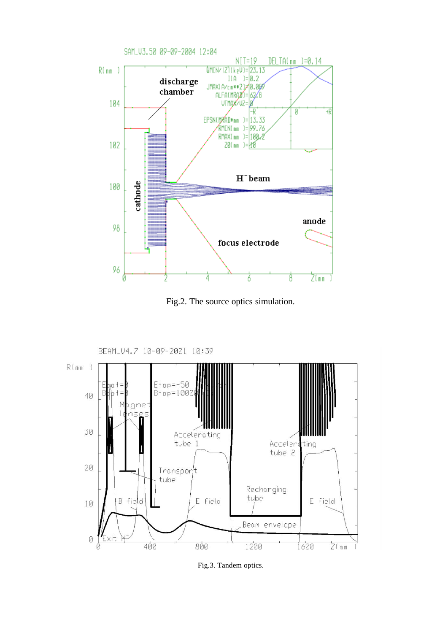

Fig.2. The source optics simulation.



Fig.3. Tandem optics.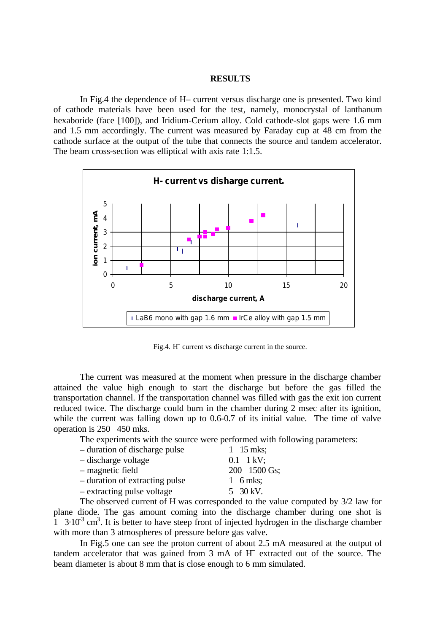## **RESULTS**

In Fig.4 the dependence of H– current versus discharge one is presented. Two kind of cathode materials have been used for the test, namely, monocrystal of lanthanum hexaboride (face [100]), and Iridium-Cerium alloy. Cold cathode-slot gaps were 1.6 mm and 1.5 mm accordingly. The current was measured by Faraday cup at 48 cm from the cathode surface at the output of the tube that connects the source and tandem accelerator. The beam cross-section was elliptical with axis rate 1:1.5.



Fig.4. H<sup>–</sup> current vs discharge current in the source.

The current was measured at the moment when pressure in the discharge chamber attained the value high enough to start the discharge but before the gas filled the transportation channel. If the transportation channel was filled with gas the exit ion current reduced twice. The discharge could burn in the chamber during 2 msec after its ignition, while the current was falling down up to 0.6-0.7 of its initial value. The time of valve operation is 250 450 mks.

The experiments with the source were performed with following parameters:

| - duration of discharge pulse  | 1 15 mks:                  |
|--------------------------------|----------------------------|
| - discharge voltage            | $0.1 \quad 1 \text{ kV}$ ; |
| - magnetic field               | 200 1500 Gs;               |
| - duration of extracting pulse | 1 6 mks;                   |
| - extracting pulse voltage     | 5 30 kV.                   |

The observed current of H–was corresponded to the value computed by  $3/2$  law for plane diode. The gas amount coming into the discharge chamber during one shot is  $1\,$  3.10<sup>3</sup> cm<sup>3</sup>. It is better to have steep front of injected hydrogen in the discharge chamber with more than 3 atmospheres of pressure before gas valve.

In Fig.5 one can see the proton current of about 2.5 mA measured at the output of tandem accelerator that was gained from 3 mA of H – extracted out of the source. The beam diameter is about 8 mm that is close enough to 6 mm simulated.